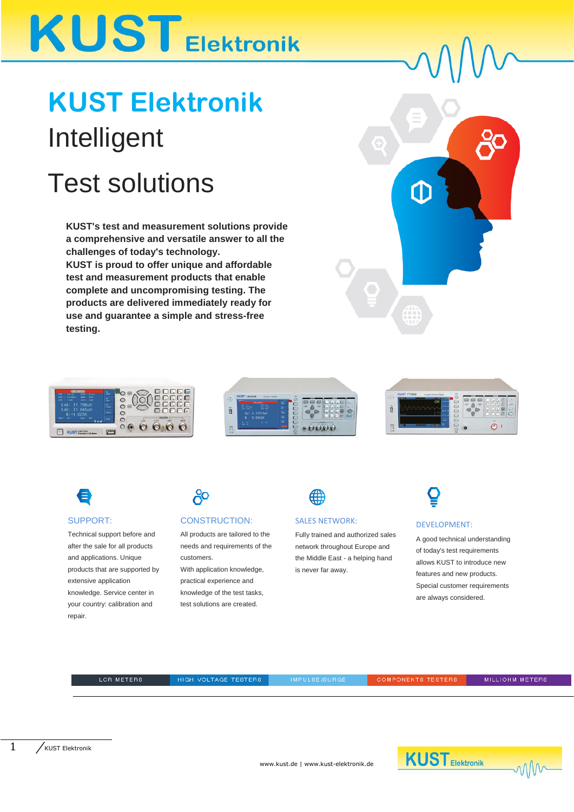# **KUST Elektronik**

# **KUST Elektronik** Intelligent

## Test solutions

**KUST's test and measurement solutions provide a comprehensive and versatile answer to all the challenges of today's technology. KUST is proud to offer unique and affordable test and measurement products that enable complete and uncompromising testing. The products are delivered immediately ready for use and guarantee a simple and stress-free testing.**









### SUPPORT:

Technical support before and after the sale for all products and applications. Unique products that are supported by extensive application knowledge. Service center in your country: calibration and repair.

## දිං

### CONSTRUCTION:

All products are tailored to the needs and requirements of the customers.

With application knowledge. practical experience and knowledge of the test tasks, test solutions are created



### SALES NETWORK:

Fully trained and authorized sales network throughout Europe and the Middle East - a helping hand is never far away.

### DEVELOPMENT:

A good technical understanding of today's test requirements allows KUST to introduce new features and new products. Special customer requirements are always considered.

LOR METERS

HIGH VOLTAGE TESTERS

IMPULSE/SURGE

**COMPONENTS TESTERS** 

MILLIOHM METERS



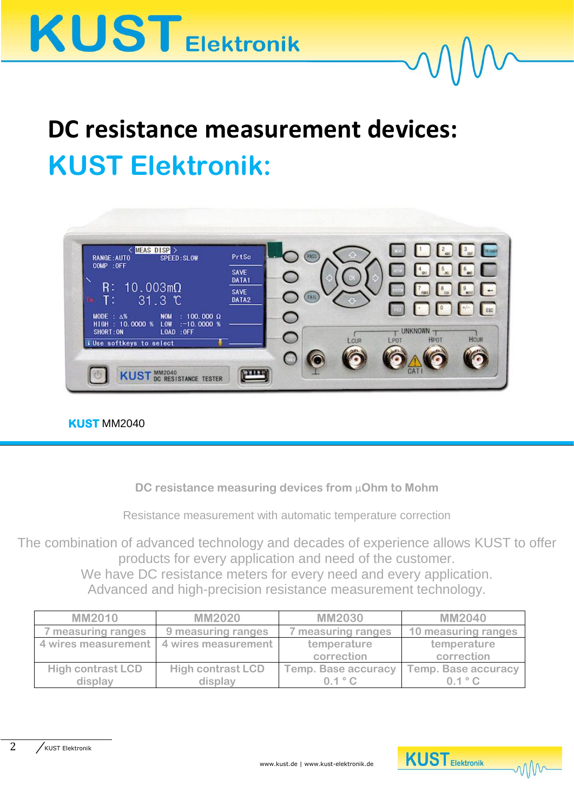

# **DC resistance measurement devices: KUST Elektronik:**



## **KUST** MM2040

**DC resistance measuring devices from** μ**Ohm to Mohm**

Resistance measurement with automatic temperature correction

The combination of advanced technology and decades of experience allows KUST to offer products for every application and need of the customer. We have DC resistance meters for every need and every application.

Advanced and high-precision resistance measurement technology.

| <b>MM2010</b>            | <b>MM2020</b>                             | <b>MM2030</b>              | <b>MM2040</b>              |
|--------------------------|-------------------------------------------|----------------------------|----------------------------|
| measuring ranges         | 9 measuring ranges                        | measuring ranges           | 10 measuring ranges        |
|                          | 4 wires measurement   4 wires measurement | temperature                | temperature                |
|                          |                                           | correction                 | correction                 |
| <b>High contrast LCD</b> | <b>High contrast LCD</b>                  | <b>Temp. Base accuracy</b> | <b>Temp. Base accuracy</b> |
| display                  | display                                   | 0.1 °C                     | 0.1 °C                     |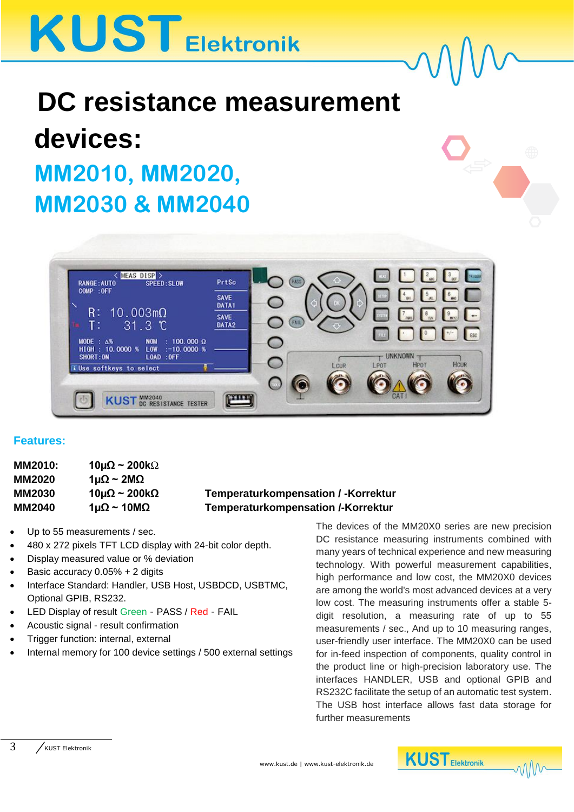# **KUST Elektronik**

# **DC resistance measurement devices: MM2010, MM2020, MM2030 & MM2040**



## **Features:**

| <b>MM2010:</b> | 10µ $\Omega$ ~ 200k $\Omega$  |                                            |
|----------------|-------------------------------|--------------------------------------------|
| <b>MM2020</b>  | 1μΩ ~ 2ΜΩ                     |                                            |
| <b>MM2030</b>  | $10\mu\Omega \sim 200k\Omega$ | <b>Temperaturkompensation / -Korrektur</b> |
| <b>MM2040</b>  | 1μΩ ~ 10ΜΩ                    | <b>Temperaturkompensation /-Korrektur</b>  |
|                |                               |                                            |

- Up to 55 measurements / sec.
- 480 x 272 pixels TFT LCD display with 24-bit color depth.
- Display measured value or % deviation
- Basic accuracy  $0.05% + 2$  digits
- Interface Standard: Handler, USB Host, USBDCD, USBTMC, Optional GPIB, RS232.
- LED Display of result Green PASS / Red FAIL
- Acoustic signal result confirmation
- Trigger function: internal, external
- Internal memory for 100 device settings / 500 external settings

The devices of the MM20X0 series are new precision DC resistance measuring instruments combined with many years of technical experience and new measuring technology. With powerful measurement capabilities, high performance and low cost, the MM20X0 devices are among the world's most advanced devices at a very low cost. The measuring instruments offer a stable 5 digit resolution, a measuring rate of up to 55 measurements / sec., And up to 10 measuring ranges, user-friendly user interface. The MM20X0 can be used for in-feed inspection of components, quality control in the product line or high-precision laboratory use. The interfaces HANDLER, USB and optional GPIB and RS232C facilitate the setup of an automatic test system. The USB host interface allows fast data storage for further measurements



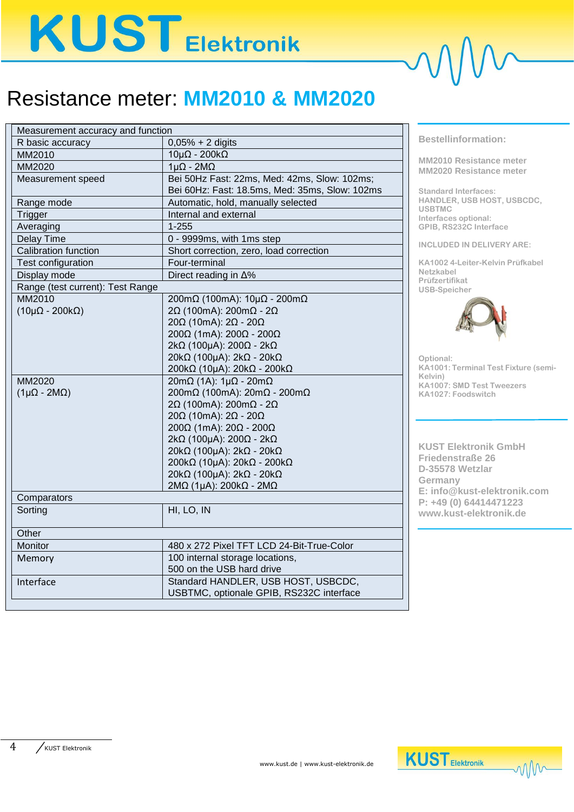# **KUST Elektronik**

## Resistance meter: **MM2010 & MM2020**

| $0,05% + 2$ digits<br>R basic accuracy<br>$10\mu\Omega$ - 200k $\Omega$<br>MM2010<br>$1\mu\Omega$ - $2M\Omega$<br>MM2020<br>Bei 50Hz Fast: 22ms, Med: 42ms, Slow: 102ms;<br>Measurement speed<br>Bei 60Hz: Fast: 18.5ms, Med: 35ms, Slow: 102ms<br>Automatic, hold, manually selected<br>Range mode<br>Internal and external<br>Trigger<br>$1 - 255$<br>Averaging<br>0 - 9999ms, with 1ms step<br>Delay Time<br>Calibration function<br>Short correction, zero, load correction<br>Test configuration<br>Four-terminal<br>Display mode<br>Direct reading in $\Delta\%$<br>Range (test current): Test Range<br>MM2010<br>200mΩ (100mA): $10\mu\Omega$ - 200m $\Omega$<br>2Ω (100mA): 200mΩ - 2Ω<br>$(10\mu\Omega - 200k\Omega)$<br>$20Ω$ (10mA): $2Ω - 20Ω$<br>200Ω (1mA): 200Ω - 200Ω<br>$2k\Omega$ (100µA): 200 $\Omega$ - 2k $\Omega$<br>20kΩ (100µA): 2kΩ - 20kΩ<br>200 κΩ (10μΑ): 20 κΩ - 200 κΩ<br>MM2020<br>$20m\Omega$ (1A): $1\mu\Omega$ - $20m\Omega$<br>200mΩ (100mA): 20mΩ - 200mΩ<br>$(1\mu\Omega - 2M\Omega)$<br>2Ω (100mA): 200mΩ - 2Ω<br>$20Ω$ (10mA): $2Ω - 20Ω$<br>$200Ω$ (1mA): $20Ω - 200Ω$<br>2kΩ (100μA): 200Ω - 2kΩ<br>20kΩ (100µA): 2kΩ - 20kΩ<br>200 κΩ (10μΑ): 20 κΩ - 200 κΩ<br>20kΩ (100µA): 2kΩ - 20kΩ<br>$2M\Omega$ (1µA): 200k $\Omega$ - 2M $\Omega$<br>Comparators<br>Sorting<br>HI, LO, IN<br>Other<br>480 x 272 Pixel TFT LCD 24-Bit-True-Color<br>Monitor<br>100 internal storage locations,<br>Memory<br>500 on the USB hard drive<br>Standard HANDLER, USB HOST, USBCDC,<br>Interface<br>USBTMC, optionale GPIB, RS232C interface | Measurement accuracy and function |  |  |
|------------------------------------------------------------------------------------------------------------------------------------------------------------------------------------------------------------------------------------------------------------------------------------------------------------------------------------------------------------------------------------------------------------------------------------------------------------------------------------------------------------------------------------------------------------------------------------------------------------------------------------------------------------------------------------------------------------------------------------------------------------------------------------------------------------------------------------------------------------------------------------------------------------------------------------------------------------------------------------------------------------------------------------------------------------------------------------------------------------------------------------------------------------------------------------------------------------------------------------------------------------------------------------------------------------------------------------------------------------------------------------------------------------------------------------------------------------------------------------------------------------------------------------------------------------------------|-----------------------------------|--|--|
|                                                                                                                                                                                                                                                                                                                                                                                                                                                                                                                                                                                                                                                                                                                                                                                                                                                                                                                                                                                                                                                                                                                                                                                                                                                                                                                                                                                                                                                                                                                                                                        |                                   |  |  |
|                                                                                                                                                                                                                                                                                                                                                                                                                                                                                                                                                                                                                                                                                                                                                                                                                                                                                                                                                                                                                                                                                                                                                                                                                                                                                                                                                                                                                                                                                                                                                                        |                                   |  |  |
|                                                                                                                                                                                                                                                                                                                                                                                                                                                                                                                                                                                                                                                                                                                                                                                                                                                                                                                                                                                                                                                                                                                                                                                                                                                                                                                                                                                                                                                                                                                                                                        |                                   |  |  |
|                                                                                                                                                                                                                                                                                                                                                                                                                                                                                                                                                                                                                                                                                                                                                                                                                                                                                                                                                                                                                                                                                                                                                                                                                                                                                                                                                                                                                                                                                                                                                                        |                                   |  |  |
|                                                                                                                                                                                                                                                                                                                                                                                                                                                                                                                                                                                                                                                                                                                                                                                                                                                                                                                                                                                                                                                                                                                                                                                                                                                                                                                                                                                                                                                                                                                                                                        |                                   |  |  |
|                                                                                                                                                                                                                                                                                                                                                                                                                                                                                                                                                                                                                                                                                                                                                                                                                                                                                                                                                                                                                                                                                                                                                                                                                                                                                                                                                                                                                                                                                                                                                                        |                                   |  |  |
|                                                                                                                                                                                                                                                                                                                                                                                                                                                                                                                                                                                                                                                                                                                                                                                                                                                                                                                                                                                                                                                                                                                                                                                                                                                                                                                                                                                                                                                                                                                                                                        |                                   |  |  |
|                                                                                                                                                                                                                                                                                                                                                                                                                                                                                                                                                                                                                                                                                                                                                                                                                                                                                                                                                                                                                                                                                                                                                                                                                                                                                                                                                                                                                                                                                                                                                                        |                                   |  |  |
|                                                                                                                                                                                                                                                                                                                                                                                                                                                                                                                                                                                                                                                                                                                                                                                                                                                                                                                                                                                                                                                                                                                                                                                                                                                                                                                                                                                                                                                                                                                                                                        |                                   |  |  |
|                                                                                                                                                                                                                                                                                                                                                                                                                                                                                                                                                                                                                                                                                                                                                                                                                                                                                                                                                                                                                                                                                                                                                                                                                                                                                                                                                                                                                                                                                                                                                                        |                                   |  |  |
|                                                                                                                                                                                                                                                                                                                                                                                                                                                                                                                                                                                                                                                                                                                                                                                                                                                                                                                                                                                                                                                                                                                                                                                                                                                                                                                                                                                                                                                                                                                                                                        |                                   |  |  |
|                                                                                                                                                                                                                                                                                                                                                                                                                                                                                                                                                                                                                                                                                                                                                                                                                                                                                                                                                                                                                                                                                                                                                                                                                                                                                                                                                                                                                                                                                                                                                                        |                                   |  |  |
|                                                                                                                                                                                                                                                                                                                                                                                                                                                                                                                                                                                                                                                                                                                                                                                                                                                                                                                                                                                                                                                                                                                                                                                                                                                                                                                                                                                                                                                                                                                                                                        |                                   |  |  |
|                                                                                                                                                                                                                                                                                                                                                                                                                                                                                                                                                                                                                                                                                                                                                                                                                                                                                                                                                                                                                                                                                                                                                                                                                                                                                                                                                                                                                                                                                                                                                                        |                                   |  |  |
|                                                                                                                                                                                                                                                                                                                                                                                                                                                                                                                                                                                                                                                                                                                                                                                                                                                                                                                                                                                                                                                                                                                                                                                                                                                                                                                                                                                                                                                                                                                                                                        |                                   |  |  |
|                                                                                                                                                                                                                                                                                                                                                                                                                                                                                                                                                                                                                                                                                                                                                                                                                                                                                                                                                                                                                                                                                                                                                                                                                                                                                                                                                                                                                                                                                                                                                                        |                                   |  |  |
|                                                                                                                                                                                                                                                                                                                                                                                                                                                                                                                                                                                                                                                                                                                                                                                                                                                                                                                                                                                                                                                                                                                                                                                                                                                                                                                                                                                                                                                                                                                                                                        |                                   |  |  |
|                                                                                                                                                                                                                                                                                                                                                                                                                                                                                                                                                                                                                                                                                                                                                                                                                                                                                                                                                                                                                                                                                                                                                                                                                                                                                                                                                                                                                                                                                                                                                                        |                                   |  |  |
|                                                                                                                                                                                                                                                                                                                                                                                                                                                                                                                                                                                                                                                                                                                                                                                                                                                                                                                                                                                                                                                                                                                                                                                                                                                                                                                                                                                                                                                                                                                                                                        |                                   |  |  |
|                                                                                                                                                                                                                                                                                                                                                                                                                                                                                                                                                                                                                                                                                                                                                                                                                                                                                                                                                                                                                                                                                                                                                                                                                                                                                                                                                                                                                                                                                                                                                                        |                                   |  |  |
|                                                                                                                                                                                                                                                                                                                                                                                                                                                                                                                                                                                                                                                                                                                                                                                                                                                                                                                                                                                                                                                                                                                                                                                                                                                                                                                                                                                                                                                                                                                                                                        |                                   |  |  |
|                                                                                                                                                                                                                                                                                                                                                                                                                                                                                                                                                                                                                                                                                                                                                                                                                                                                                                                                                                                                                                                                                                                                                                                                                                                                                                                                                                                                                                                                                                                                                                        |                                   |  |  |
|                                                                                                                                                                                                                                                                                                                                                                                                                                                                                                                                                                                                                                                                                                                                                                                                                                                                                                                                                                                                                                                                                                                                                                                                                                                                                                                                                                                                                                                                                                                                                                        |                                   |  |  |
|                                                                                                                                                                                                                                                                                                                                                                                                                                                                                                                                                                                                                                                                                                                                                                                                                                                                                                                                                                                                                                                                                                                                                                                                                                                                                                                                                                                                                                                                                                                                                                        |                                   |  |  |
|                                                                                                                                                                                                                                                                                                                                                                                                                                                                                                                                                                                                                                                                                                                                                                                                                                                                                                                                                                                                                                                                                                                                                                                                                                                                                                                                                                                                                                                                                                                                                                        |                                   |  |  |
|                                                                                                                                                                                                                                                                                                                                                                                                                                                                                                                                                                                                                                                                                                                                                                                                                                                                                                                                                                                                                                                                                                                                                                                                                                                                                                                                                                                                                                                                                                                                                                        |                                   |  |  |
|                                                                                                                                                                                                                                                                                                                                                                                                                                                                                                                                                                                                                                                                                                                                                                                                                                                                                                                                                                                                                                                                                                                                                                                                                                                                                                                                                                                                                                                                                                                                                                        |                                   |  |  |
|                                                                                                                                                                                                                                                                                                                                                                                                                                                                                                                                                                                                                                                                                                                                                                                                                                                                                                                                                                                                                                                                                                                                                                                                                                                                                                                                                                                                                                                                                                                                                                        |                                   |  |  |
|                                                                                                                                                                                                                                                                                                                                                                                                                                                                                                                                                                                                                                                                                                                                                                                                                                                                                                                                                                                                                                                                                                                                                                                                                                                                                                                                                                                                                                                                                                                                                                        |                                   |  |  |
|                                                                                                                                                                                                                                                                                                                                                                                                                                                                                                                                                                                                                                                                                                                                                                                                                                                                                                                                                                                                                                                                                                                                                                                                                                                                                                                                                                                                                                                                                                                                                                        |                                   |  |  |
|                                                                                                                                                                                                                                                                                                                                                                                                                                                                                                                                                                                                                                                                                                                                                                                                                                                                                                                                                                                                                                                                                                                                                                                                                                                                                                                                                                                                                                                                                                                                                                        |                                   |  |  |
|                                                                                                                                                                                                                                                                                                                                                                                                                                                                                                                                                                                                                                                                                                                                                                                                                                                                                                                                                                                                                                                                                                                                                                                                                                                                                                                                                                                                                                                                                                                                                                        |                                   |  |  |
|                                                                                                                                                                                                                                                                                                                                                                                                                                                                                                                                                                                                                                                                                                                                                                                                                                                                                                                                                                                                                                                                                                                                                                                                                                                                                                                                                                                                                                                                                                                                                                        |                                   |  |  |
|                                                                                                                                                                                                                                                                                                                                                                                                                                                                                                                                                                                                                                                                                                                                                                                                                                                                                                                                                                                                                                                                                                                                                                                                                                                                                                                                                                                                                                                                                                                                                                        |                                   |  |  |
|                                                                                                                                                                                                                                                                                                                                                                                                                                                                                                                                                                                                                                                                                                                                                                                                                                                                                                                                                                                                                                                                                                                                                                                                                                                                                                                                                                                                                                                                                                                                                                        |                                   |  |  |
|                                                                                                                                                                                                                                                                                                                                                                                                                                                                                                                                                                                                                                                                                                                                                                                                                                                                                                                                                                                                                                                                                                                                                                                                                                                                                                                                                                                                                                                                                                                                                                        |                                   |  |  |
|                                                                                                                                                                                                                                                                                                                                                                                                                                                                                                                                                                                                                                                                                                                                                                                                                                                                                                                                                                                                                                                                                                                                                                                                                                                                                                                                                                                                                                                                                                                                                                        |                                   |  |  |
|                                                                                                                                                                                                                                                                                                                                                                                                                                                                                                                                                                                                                                                                                                                                                                                                                                                                                                                                                                                                                                                                                                                                                                                                                                                                                                                                                                                                                                                                                                                                                                        |                                   |  |  |

**Bestellinformation:**

**MM2010 Resistance meter MM2020 Resistance meter**

**Standard Interfaces: HANDLER, USB HOST, USBCDC, USBTMC Interfaces optional: GPIB, RS232C Interface**

**INCLUDED IN DELIVERY ARE:**

**KA1002 4-Leiter-Kelvin Prüfkabel Netzkabel Prüfzertifikat USB-Speicher**



**Optional: KA1001: Terminal Test Fixture (semi-Kelvin) KA1007: SMD Test Tweezers KA1027: Foodswitch**

**KUST Elektronik GmbH Friedenstraße 26 D-35578 Wetzlar Germany E: info@kust-elektronik.com P: +49 (0) 64414471223 www.kust-elektronik.de**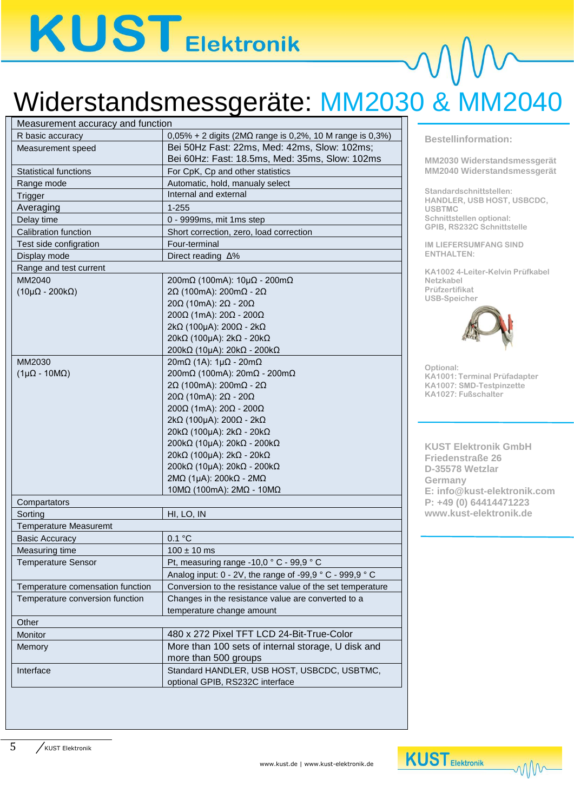# **KUSTEIEKtronik**

# Widerstandsmessgeräte: MM2030 & MM2040

| Measurement accuracy and function |                                                                     |  |  |
|-----------------------------------|---------------------------------------------------------------------|--|--|
| R basic accuracy                  | $0,05\% + 2$ digits (2M $\Omega$ range is 0,2%, 10 M range is 0,3%) |  |  |
| Measurement speed                 | Bei 50Hz Fast: 22ms, Med: 42ms, Slow: 102ms;                        |  |  |
|                                   | Bei 60Hz: Fast: 18.5ms, Med: 35ms, Slow: 102ms                      |  |  |
| <b>Statistical functions</b>      | For CpK, Cp and other statistics                                    |  |  |
| Range mode                        | Automatic, hold, manualy select                                     |  |  |
| Trigger                           | Internal and external                                               |  |  |
| Averaging                         | $1 - 255$                                                           |  |  |
| Delay time                        | 0 - 9999ms, mit 1ms step                                            |  |  |
| Calibration function              | Short correction, zero, load correction                             |  |  |
| Test side configration            | Four-terminal                                                       |  |  |
| Display mode                      | Direct reading $\Delta\%$                                           |  |  |
| Range and test current            |                                                                     |  |  |
| MM2040                            | 200mΩ (100mA): $10\mu\Omega$ - 200m $\Omega$                        |  |  |
| $(10\mu\Omega - 200k\Omega)$      | 2Ω (100mA): 200mΩ - 2Ω                                              |  |  |
|                                   | $20Ω$ (10mA): $2Ω - 20Ω$                                            |  |  |
|                                   | 200Ω (1mA): 20Ω - 200Ω                                              |  |  |
|                                   | 2kΩ (100μA): 200Ω - 2kΩ                                             |  |  |
|                                   | 20kΩ (100μA): 2kΩ - 20kΩ                                            |  |  |
|                                   | 200kΩ (10μA): $20kΩ - 200kΩ$                                        |  |  |
| MM2030                            | $20m\Omega$ (1A): $1\mu\Omega$ - $20m\Omega$                        |  |  |
| $(1\mu\Omega - 10M\Omega)$        | 200mΩ (100mA): 20mΩ - 200mΩ                                         |  |  |
|                                   | 2Ω (100mA): 200mΩ - 2Ω                                              |  |  |
|                                   | $20\Omega$ (10mA): $2\Omega$ - $20\Omega$                           |  |  |
|                                   | 200Ω (1mA): 20Ω - 200Ω                                              |  |  |
|                                   | 2kΩ (100μA): 200Ω - 2kΩ                                             |  |  |
|                                   | 20kΩ (100μA): 2kΩ - 20kΩ                                            |  |  |
|                                   | 200 κΩ (10μΑ): 20 κΩ - 200 κΩ                                       |  |  |
|                                   | 20kΩ (100μA): 2kΩ - 20kΩ                                            |  |  |
|                                   | 200 κΩ (10μΑ): 20 κΩ - 200 κΩ                                       |  |  |
|                                   | $2M\Omega$ (1µA): $200k\Omega$ - $2M\Omega$                         |  |  |
|                                   | 10MΩ (100mA): 2MΩ - 10MΩ                                            |  |  |
| Compartators                      |                                                                     |  |  |
| Sorting                           | HI, LO, IN                                                          |  |  |
| <b>Temperature Measuremt</b>      |                                                                     |  |  |
| <b>Basic Accuracy</b>             | 0.1 °C                                                              |  |  |
| Measuring time                    | $100 \pm 10$ ms                                                     |  |  |
| <b>Temperature Sensor</b>         | Pt, measuring range -10,0 $\degree$ C - 99,9 $\degree$ C            |  |  |
|                                   | Analog input: $0 - 2V$ , the range of -99,9 ° C - 999,9 ° C         |  |  |
| Temperature comensation function  | Conversion to the resistance value of the set temperature           |  |  |
| Temperature conversion function   | Changes in the resistance value are converted to a                  |  |  |
|                                   | temperature change amount                                           |  |  |
| Other                             |                                                                     |  |  |
| Monitor                           | 480 x 272 Pixel TFT LCD 24-Bit-True-Color                           |  |  |
| Memory                            | More than 100 sets of internal storage, U disk and                  |  |  |
|                                   | more than 500 groups                                                |  |  |
| Interface                         | Standard HANDLER, USB HOST, USBCDC, USBTMC,                         |  |  |
|                                   | optional GPIB, RS232C interface                                     |  |  |
|                                   |                                                                     |  |  |

### **Bestellinformation:**

**MM2030 Widerstandsmessgerät MM2040 Widerstandsmessgerät**

**Standardschnittstellen: HANDLER, USB HOST, USBCDC, USBTMC Schnittstellen optional: GPIB, RS232C Schnittstelle**

**IM LIEFERSUMFANG SIND ENTHALTEN:**

**KA1002 4-Leiter-Kelvin Prüfkabel Netzkabel Prüfzertifikat USB-Speicher**



**Optional: KA1001: Terminal Prüfadapter KA1007: SMD-Testpinzette KA1027: Fußschalter**

**KUST Elektronik GmbH Friedenstraße 26 D-35578 Wetzlar Germany E: info@kust-elektronik.com P: +49 (0) 64414471223 www.kust-elektronik.de**